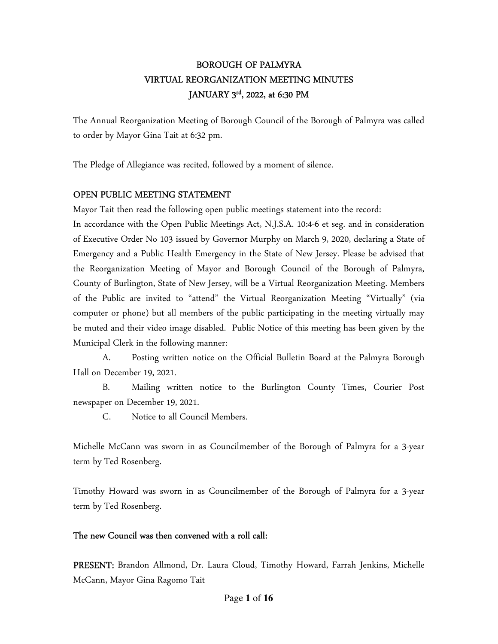# BOROUGH OF PALMYRA VIRTUAL REORGANIZATION MEETING MINUTES JANUARY 3<sup>rd</sup>, 2022, at 6:30 PM

The Annual Reorganization Meeting of Borough Council of the Borough of Palmyra was called to order by Mayor Gina Tait at 6:32 pm.

The Pledge of Allegiance was recited, followed by a moment of silence.

#### OPEN PUBLIC MEETING STATEMENT

Mayor Tait then read the following open public meetings statement into the record: In accordance with the Open Public Meetings Act, N.J.S.A. 10:4-6 et seg. and in consideration of Executive Order No 103 issued by Governor Murphy on March 9, 2020, declaring a State of Emergency and a Public Health Emergency in the State of New Jersey. Please be advised that the Reorganization Meeting of Mayor and Borough Council of the Borough of Palmyra, County of Burlington, State of New Jersey, will be a Virtual Reorganization Meeting. Members of the Public are invited to "attend" the Virtual Reorganization Meeting "Virtually" (via computer or phone) but all members of the public participating in the meeting virtually may be muted and their video image disabled. Public Notice of this meeting has been given by the Municipal Clerk in the following manner:

 A. Posting written notice on the Official Bulletin Board at the Palmyra Borough Hall on December 19, 2021.

 B. Mailing written notice to the Burlington County Times, Courier Post newspaper on December 19, 2021.

C. Notice to all Council Members.

Michelle McCann was sworn in as Councilmember of the Borough of Palmyra for a 3-year term by Ted Rosenberg.

Timothy Howard was sworn in as Councilmember of the Borough of Palmyra for a 3-year term by Ted Rosenberg.

### The new Council was then convened with a roll call:

PRESENT: Brandon Allmond, Dr. Laura Cloud, Timothy Howard, Farrah Jenkins, Michelle McCann, Mayor Gina Ragomo Tait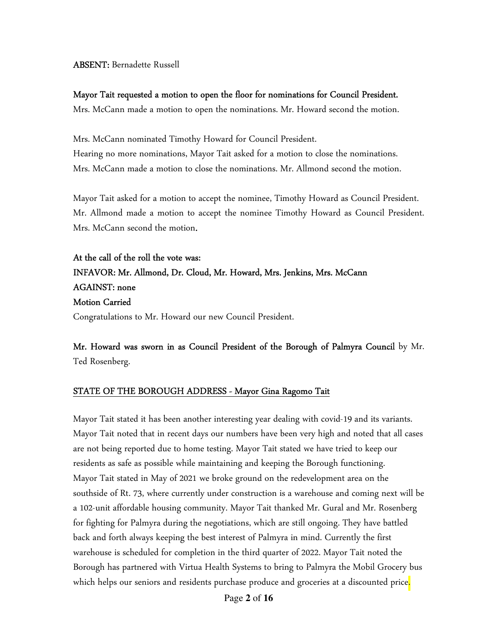#### ABSENT: Bernadette Russell

#### Mayor Tait requested a motion to open the floor for nominations for Council President.

Mrs. McCann made a motion to open the nominations. Mr. Howard second the motion.

Mrs. McCann nominated Timothy Howard for Council President. Hearing no more nominations, Mayor Tait asked for a motion to close the nominations. Mrs. McCann made a motion to close the nominations. Mr. Allmond second the motion.

Mayor Tait asked for a motion to accept the nominee, Timothy Howard as Council President. Mr. Allmond made a motion to accept the nominee Timothy Howard as Council President. Mrs. McCann second the motion.

At the call of the roll the vote was: INFAVOR: Mr. Allmond, Dr. Cloud, Mr. Howard, Mrs. Jenkins, Mrs. McCann AGAINST: none Motion Carried Congratulations to Mr. Howard our new Council President.

Mr. Howard was sworn in as Council President of the Borough of Palmyra Council by Mr. Ted Rosenberg.

#### STATE OF THE BOROUGH ADDRESS - Mayor Gina Ragomo Tait

Mayor Tait stated it has been another interesting year dealing with covid-19 and its variants. Mayor Tait noted that in recent days our numbers have been very high and noted that all cases are not being reported due to home testing. Mayor Tait stated we have tried to keep our residents as safe as possible while maintaining and keeping the Borough functioning. Mayor Tait stated in May of 2021 we broke ground on the redevelopment area on the southside of Rt. 73, where currently under construction is a warehouse and coming next will be a 102-unit affordable housing community. Mayor Tait thanked Mr. Gural and Mr. Rosenberg for fighting for Palmyra during the negotiations, which are still ongoing. They have battled back and forth always keeping the best interest of Palmyra in mind. Currently the first warehouse is scheduled for completion in the third quarter of 2022. Mayor Tait noted the Borough has partnered with Virtua Health Systems to bring to Palmyra the Mobil Grocery bus which helps our seniors and residents purchase produce and groceries at a discounted price<mark>.</mark>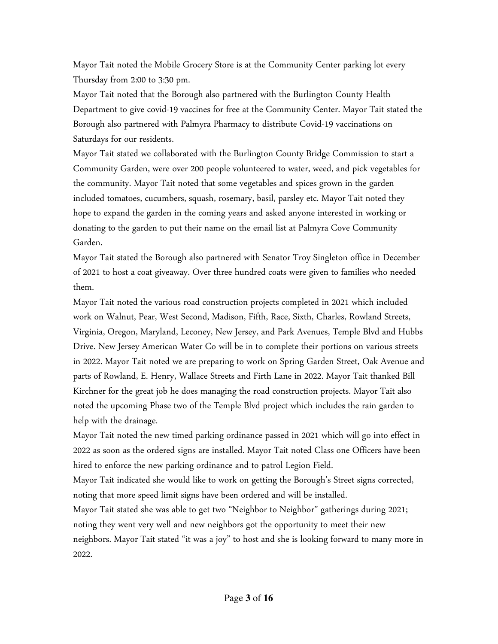Mayor Tait noted the Mobile Grocery Store is at the Community Center parking lot every Thursday from 2:00 to 3:30 pm.

Mayor Tait noted that the Borough also partnered with the Burlington County Health Department to give covid-19 vaccines for free at the Community Center. Mayor Tait stated the Borough also partnered with Palmyra Pharmacy to distribute Covid-19 vaccinations on Saturdays for our residents.

Mayor Tait stated we collaborated with the Burlington County Bridge Commission to start a Community Garden, were over 200 people volunteered to water, weed, and pick vegetables for the community. Mayor Tait noted that some vegetables and spices grown in the garden included tomatoes, cucumbers, squash, rosemary, basil, parsley etc. Mayor Tait noted they hope to expand the garden in the coming years and asked anyone interested in working or donating to the garden to put their name on the email list at Palmyra Cove Community Garden.

Mayor Tait stated the Borough also partnered with Senator Troy Singleton office in December of 2021 to host a coat giveaway. Over three hundred coats were given to families who needed them.

Mayor Tait noted the various road construction projects completed in 2021 which included work on Walnut, Pear, West Second, Madison, Fifth, Race, Sixth, Charles, Rowland Streets, Virginia, Oregon, Maryland, Leconey, New Jersey, and Park Avenues, Temple Blvd and Hubbs Drive. New Jersey American Water Co will be in to complete their portions on various streets in 2022. Mayor Tait noted we are preparing to work on Spring Garden Street, Oak Avenue and parts of Rowland, E. Henry, Wallace Streets and Firth Lane in 2022. Mayor Tait thanked Bill Kirchner for the great job he does managing the road construction projects. Mayor Tait also noted the upcoming Phase two of the Temple Blvd project which includes the rain garden to help with the drainage.

Mayor Tait noted the new timed parking ordinance passed in 2021 which will go into effect in 2022 as soon as the ordered signs are installed. Mayor Tait noted Class one Officers have been hired to enforce the new parking ordinance and to patrol Legion Field.

Mayor Tait indicated she would like to work on getting the Borough's Street signs corrected, noting that more speed limit signs have been ordered and will be installed.

Mayor Tait stated she was able to get two "Neighbor to Neighbor" gatherings during 2021; noting they went very well and new neighbors got the opportunity to meet their new neighbors. Mayor Tait stated "it was a joy" to host and she is looking forward to many more in 2022.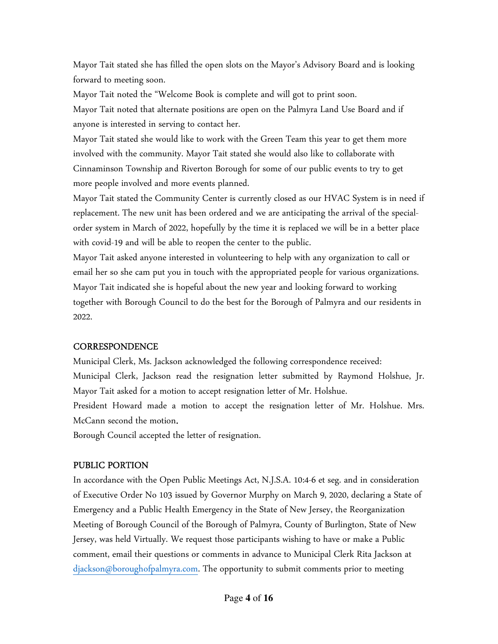Mayor Tait stated she has filled the open slots on the Mayor's Advisory Board and is looking forward to meeting soon.

Mayor Tait noted the "Welcome Book is complete and will got to print soon.

Mayor Tait noted that alternate positions are open on the Palmyra Land Use Board and if anyone is interested in serving to contact her.

Mayor Tait stated she would like to work with the Green Team this year to get them more involved with the community. Mayor Tait stated she would also like to collaborate with Cinnaminson Township and Riverton Borough for some of our public events to try to get more people involved and more events planned.

Mayor Tait stated the Community Center is currently closed as our HVAC System is in need if replacement. The new unit has been ordered and we are anticipating the arrival of the specialorder system in March of 2022, hopefully by the time it is replaced we will be in a better place with covid-19 and will be able to reopen the center to the public.

Mayor Tait asked anyone interested in volunteering to help with any organization to call or email her so she cam put you in touch with the appropriated people for various organizations. Mayor Tait indicated she is hopeful about the new year and looking forward to working together with Borough Council to do the best for the Borough of Palmyra and our residents in 2022.

### **CORRESPONDENCE**

Municipal Clerk, Ms. Jackson acknowledged the following correspondence received: Municipal Clerk, Jackson read the resignation letter submitted by Raymond Holshue, Jr. Mayor Tait asked for a motion to accept resignation letter of Mr. Holshue.

President Howard made a motion to accept the resignation letter of Mr. Holshue. Mrs. McCann second the motion.

Borough Council accepted the letter of resignation.

# PUBLIC PORTION

In accordance with the Open Public Meetings Act, N.J.S.A. 10:4-6 et seg. and in consideration of Executive Order No 103 issued by Governor Murphy on March 9, 2020, declaring a State of Emergency and a Public Health Emergency in the State of New Jersey, the Reorganization Meeting of Borough Council of the Borough of Palmyra, County of Burlington, State of New Jersey, was held Virtually. We request those participants wishing to have or make a Public comment, email their questions or comments in advance to Municipal Clerk Rita Jackson at djackson@boroughofpalmyra.com. The opportunity to submit comments prior to meeting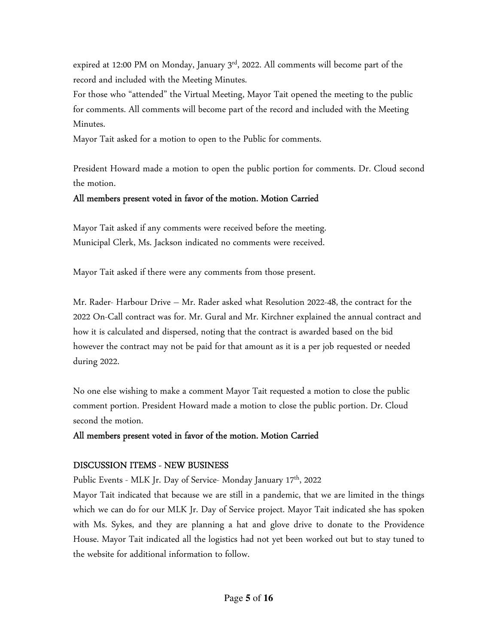expired at 12:00 PM on Monday, January  $3<sup>rd</sup>$ , 2022. All comments will become part of the record and included with the Meeting Minutes.

For those who "attended" the Virtual Meeting, Mayor Tait opened the meeting to the public for comments. All comments will become part of the record and included with the Meeting Minutes.

Mayor Tait asked for a motion to open to the Public for comments.

President Howard made a motion to open the public portion for comments. Dr. Cloud second the motion.

# All members present voted in favor of the motion. Motion Carried

Mayor Tait asked if any comments were received before the meeting. Municipal Clerk, Ms. Jackson indicated no comments were received.

Mayor Tait asked if there were any comments from those present.

Mr. Rader- Harbour Drive – Mr. Rader asked what Resolution 2022-48, the contract for the 2022 On-Call contract was for. Mr. Gural and Mr. Kirchner explained the annual contract and how it is calculated and dispersed, noting that the contract is awarded based on the bid however the contract may not be paid for that amount as it is a per job requested or needed during 2022.

No one else wishing to make a comment Mayor Tait requested a motion to close the public comment portion. President Howard made a motion to close the public portion. Dr. Cloud second the motion.

### All members present voted in favor of the motion. Motion Carried

### DISCUSSION ITEMS - NEW BUSINESS

Public Events - MLK Jr. Day of Service- Monday January 17<sup>th</sup>, 2022

Mayor Tait indicated that because we are still in a pandemic, that we are limited in the things which we can do for our MLK Jr. Day of Service project. Mayor Tait indicated she has spoken with Ms. Sykes, and they are planning a hat and glove drive to donate to the Providence House. Mayor Tait indicated all the logistics had not yet been worked out but to stay tuned to the website for additional information to follow.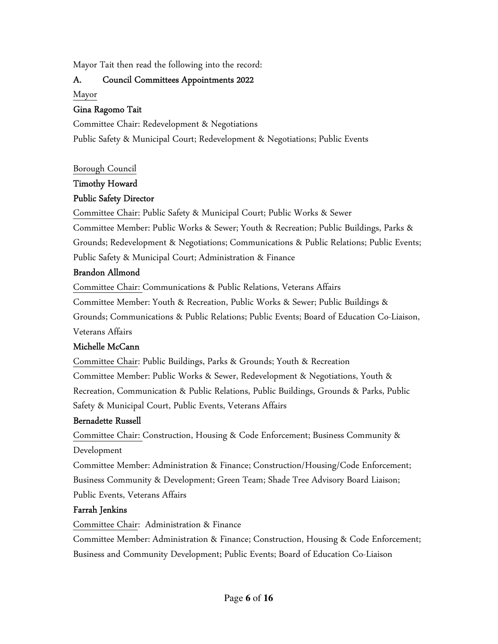Mayor Tait then read the following into the record:

#### A. Council Committees Appointments 2022

Mayor

#### Gina Ragomo Tait

Committee Chair: Redevelopment & Negotiations Public Safety & Municipal Court; Redevelopment & Negotiations; Public Events

Borough Council

# Timothy Howard

# Public Safety Director

Committee Chair: Public Safety & Municipal Court; Public Works & Sewer Committee Member: Public Works & Sewer; Youth & Recreation; Public Buildings, Parks & Grounds; Redevelopment & Negotiations; Communications & Public Relations; Public Events; Public Safety & Municipal Court; Administration & Finance

### Brandon Allmond

Committee Chair: Communications & Public Relations, Veterans Affairs Committee Member: Youth & Recreation, Public Works & Sewer; Public Buildings & Grounds; Communications & Public Relations; Public Events; Board of Education Co-Liaison, Veterans Affairs

### Michelle McCann

Committee Chair: Public Buildings, Parks & Grounds; Youth & Recreation Committee Member: Public Works & Sewer, Redevelopment & Negotiations, Youth & Recreation, Communication & Public Relations, Public Buildings, Grounds & Parks, Public Safety & Municipal Court, Public Events, Veterans Affairs

### Bernadette Russell

Committee Chair: Construction, Housing & Code Enforcement; Business Community & Development

Committee Member: Administration & Finance; Construction/Housing/Code Enforcement; Business Community & Development; Green Team; Shade Tree Advisory Board Liaison; Public Events, Veterans Affairs

### Farrah Jenkins

Committee Chair: Administration & Finance

Committee Member: Administration & Finance; Construction, Housing & Code Enforcement; Business and Community Development; Public Events; Board of Education Co-Liaison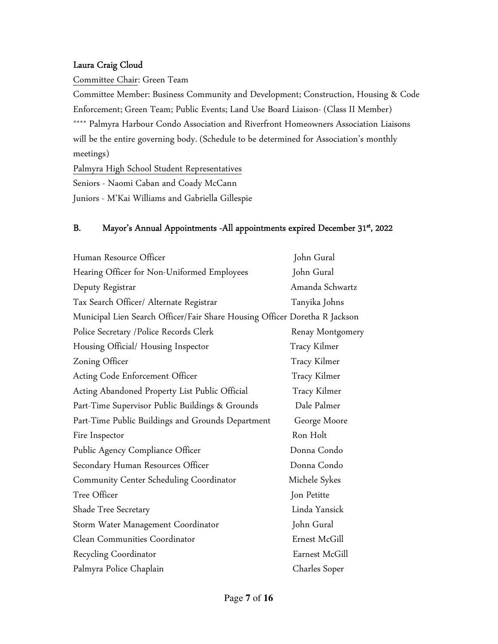#### Laura Craig Cloud

Committee Chair: Green Team

Committee Member: Business Community and Development; Construction, Housing & Code Enforcement; Green Team; Public Events; Land Use Board Liaison- (Class II Member) \*\*\*\* Palmyra Harbour Condo Association and Riverfront Homeowners Association Liaisons will be the entire governing body. (Schedule to be determined for Association's monthly meetings)

Palmyra High School Student Representatives Seniors - Naomi Caban and Coady McCann

Juniors - M'Kai Williams and Gabriella Gillespie

#### B. Mayor's Annual Appointments -All appointments expired December 31<sup>st</sup>, 2022

| Human Resource Officer                                                     | John Gural       |
|----------------------------------------------------------------------------|------------------|
| Hearing Officer for Non-Uniformed Employees                                | John Gural       |
| Deputy Registrar                                                           | Amanda Schwartz  |
| Tax Search Officer/ Alternate Registrar                                    | Tanyika Johns    |
| Municipal Lien Search Officer/Fair Share Housing Officer Doretha R Jackson |                  |
| Police Secretary / Police Records Clerk                                    | Renay Montgomery |
| Housing Official/ Housing Inspector                                        | Tracy Kilmer     |
| Zoning Officer                                                             | Tracy Kilmer     |
| Acting Code Enforcement Officer                                            | Tracy Kilmer     |
| Acting Abandoned Property List Public Official                             | Tracy Kilmer     |
| Part-Time Supervisor Public Buildings & Grounds                            | Dale Palmer      |
| Part-Time Public Buildings and Grounds Department                          | George Moore     |
| Fire Inspector                                                             | Ron Holt         |
| Public Agency Compliance Officer                                           | Donna Condo      |
| Secondary Human Resources Officer                                          | Donna Condo      |
| <b>Community Center Scheduling Coordinator</b>                             | Michele Sykes    |
| Tree Officer                                                               | Jon Petitte      |
| Shade Tree Secretary                                                       | Linda Yansick    |
| Storm Water Management Coordinator                                         | John Gural       |
| Clean Communities Coordinator                                              | Ernest McGill    |
| Recycling Coordinator                                                      | Earnest McGill   |
| Palmyra Police Chaplain                                                    | Charles Soper    |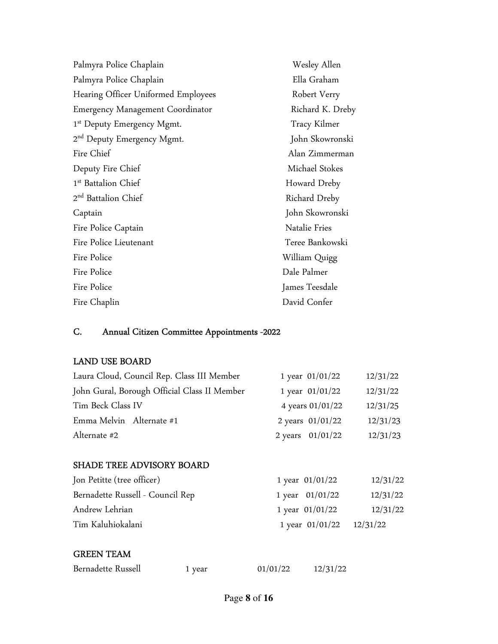| Palmyra Police Chaplain                | Wesley Allen     |
|----------------------------------------|------------------|
| Palmyra Police Chaplain                | Ella Graham      |
| Hearing Officer Uniformed Employees    | Robert Verry     |
| Emergency Management Coordinator       | Richard K. Dreby |
| 1 <sup>st</sup> Deputy Emergency Mgmt. | Tracy Kilmer     |
| 2 <sup>nd</sup> Deputy Emergency Mgmt. | John Skowronski  |
| Fire Chief                             | Alan Zimmerman   |
| Deputy Fire Chief                      | Michael Stokes   |
| 1 <sup>st</sup> Battalion Chief        | Howard Dreby     |
| 2 <sup>nd</sup> Battalion Chief        | Richard Dreby    |
| Captain                                | John Skowronski  |
| Fire Police Captain                    | Natalie Fries    |
| Fire Police Lieutenant                 | Teree Bankowski  |
| Fire Police                            | William Quigg    |
| Fire Police                            | Dale Palmer      |
| Fire Police                            | James Teesdale   |
| Fire Chaplin                           | David Confer     |

# C. Annual Citizen Committee Appointments -2022

#### LAND USE BOARD

| Laura Cloud, Council Rep. Class III Member   | 1 year $01/01/22$ | 12/31/22 |
|----------------------------------------------|-------------------|----------|
| John Gural, Borough Official Class II Member | 1 year 01/01/22   | 12/31/22 |
| Tim Beck Class IV                            | 4 years 01/01/22  | 12/31/25 |
| Emma Melvin Alternate #1                     | 2 years 01/01/22  | 12/31/23 |
| Alternate #2                                 | 2 years 01/01/22  | 12/31/23 |

#### SHADE TREE ADVISORY BOARD

| Jon Petitte (tree officer)       | 1 year $01/01/22$          | 12/31/22 |
|----------------------------------|----------------------------|----------|
| Bernadette Russell - Council Rep | 1 year $01/01/22$          | 12/31/22 |
| Andrew Lehrian                   | 1 year $01/01/22$          | 12/31/22 |
| Tim Kaluhiokalani                | 1 year $01/01/22$ 12/31/22 |          |

# GREEN TEAM

| Bernadette Russell |  | 1 yea |
|--------------------|--|-------|
|--------------------|--|-------|

 $\ar{ } 01/01/22 12/31/22$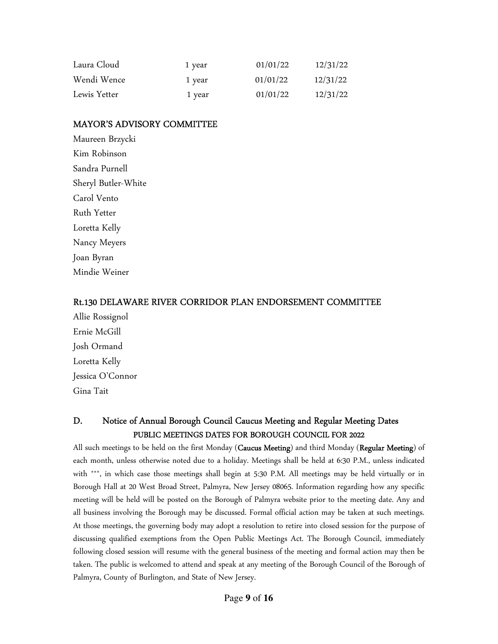| Laura Cloud  | 1 year | 01/01/22 | 12/31/22 |
|--------------|--------|----------|----------|
| Wendi Wence  | 1 year | 01/01/22 | 12/31/22 |
| Lewis Yetter | 1 year | 01/01/22 | 12/31/22 |

#### MAYOR'S ADVISORY COMMITTEE

Maureen Brzycki Kim Robinson Sandra Purnell Sheryl Butler-White Carol Vento Ruth Yetter Loretta Kelly Nancy Meyers Joan Byran Mindie Weiner

#### Rt.130 DELAWARE RIVER CORRIDOR PLAN ENDORSEMENT COMMITTEE

Allie Rossignol Ernie McGill Josh Ormand Loretta Kelly Jessica O'Connor Gina Tait

# D. Notice of Annual Borough Council Caucus Meeting and Regular Meeting Dates PUBLIC MEETINGS DATES FOR BOROUGH COUNCIL FOR 2022

All such meetings to be held on the first Monday (Caucus Meeting) and third Monday (Regular Meeting) of each month, unless otherwise noted due to a holiday. Meetings shall be held at 6:30 P.M., unless indicated with \*\*\*, in which case those meetings shall begin at 5:30 P.M. All meetings may be held virtually or in Borough Hall at 20 West Broad Street, Palmyra, New Jersey 08065. Information regarding how any specific meeting will be held will be posted on the Borough of Palmyra website prior to the meeting date. Any and all business involving the Borough may be discussed. Formal official action may be taken at such meetings. At those meetings, the governing body may adopt a resolution to retire into closed session for the purpose of discussing qualified exemptions from the Open Public Meetings Act. The Borough Council, immediately following closed session will resume with the general business of the meeting and formal action may then be taken. The public is welcomed to attend and speak at any meeting of the Borough Council of the Borough of Palmyra, County of Burlington, and State of New Jersey.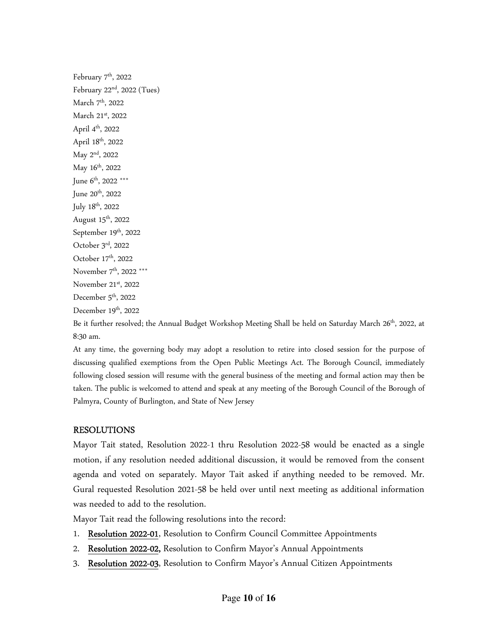February 7<sup>th</sup>, 2022 February  $22<sup>nd</sup>$ , 2022 (Tues) March 7<sup>th</sup>, 2022 March 21st, 2022 April 4th, 2022 April 18<sup>th</sup>, 2022 May 2nd, 2022 May 16<sup>th</sup>, 2022 June 6<sup>th</sup>, 2022 \*\*\* June 20<sup>th</sup>, 2022 July 18th, 2022 August  $15<sup>th</sup>$ , 2022 September 19th, 2022 October 3rd, 2022 October 17<sup>th</sup>, 2022 November 7<sup>th</sup>, 2022 \*\*\* November 21st, 2022 December 5<sup>th</sup>, 2022 December 19<sup>th</sup>, 2022

Be it further resolved; the Annual Budget Workshop Meeting Shall be held on Saturday March 26<sup>th</sup>, 2022, at 8:30 am.

At any time, the governing body may adopt a resolution to retire into closed session for the purpose of discussing qualified exemptions from the Open Public Meetings Act. The Borough Council, immediately following closed session will resume with the general business of the meeting and formal action may then be taken. The public is welcomed to attend and speak at any meeting of the Borough Council of the Borough of Palmyra, County of Burlington, and State of New Jersey

#### RESOLUTIONS

Mayor Tait stated, Resolution 2022-1 thru Resolution 2022-58 would be enacted as a single motion, if any resolution needed additional discussion, it would be removed from the consent agenda and voted on separately. Mayor Tait asked if anything needed to be removed. Mr. Gural requested Resolution 2021-58 be held over until next meeting as additional information was needed to add to the resolution.

Mayor Tait read the following resolutions into the record:

- 1. Resolution 2022-01, Resolution to Confirm Council Committee Appointments
- 2. Resolution 2022-02, Resolution to Confirm Mayor's Annual Appointments
- 3. Resolution 2022-03, Resolution to Confirm Mayor's Annual Citizen Appointments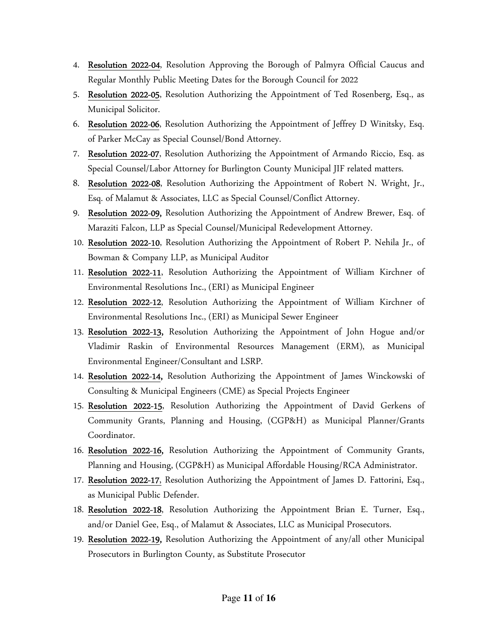- 4. Resolution 2022-04, Resolution Approving the Borough of Palmyra Official Caucus and Regular Monthly Public Meeting Dates for the Borough Council for 2022
- 5. Resolution 2022-05, Resolution Authorizing the Appointment of Ted Rosenberg, Esq., as Municipal Solicitor.
- 6. Resolution 2022-06, Resolution Authorizing the Appointment of Jeffrey D Winitsky, Esq. of Parker McCay as Special Counsel/Bond Attorney.
- 7. Resolution 2022-07, Resolution Authorizing the Appointment of Armando Riccio, Esq. as Special Counsel/Labor Attorney for Burlington County Municipal JIF related matters.
- 8. Resolution 2022-08, Resolution Authorizing the Appointment of Robert N. Wright, Jr., Esq. of Malamut & Associates, LLC as Special Counsel/Conflict Attorney.
- 9. Resolution 2022-09, Resolution Authorizing the Appointment of Andrew Brewer, Esq. of Maraziti Falcon, LLP as Special Counsel/Municipal Redevelopment Attorney.
- 10. Resolution 2022-10, Resolution Authorizing the Appointment of Robert P. Nehila Jr., of Bowman & Company LLP, as Municipal Auditor
- 11. Resolution 2022-11, Resolution Authorizing the Appointment of William Kirchner of Environmental Resolutions Inc., (ERI) as Municipal Engineer
- 12. Resolution 2022-12, Resolution Authorizing the Appointment of William Kirchner of Environmental Resolutions Inc., (ERI) as Municipal Sewer Engineer
- 13. Resolution 2022-13, Resolution Authorizing the Appointment of John Hogue and/or Vladimir Raskin of Environmental Resources Management (ERM), as Municipal Environmental Engineer/Consultant and LSRP.
- 14. Resolution 2022-14, Resolution Authorizing the Appointment of James Winckowski of Consulting & Municipal Engineers (CME) as Special Projects Engineer
- 15. Resolution 2022-15, Resolution Authorizing the Appointment of David Gerkens of Community Grants, Planning and Housing, (CGP&H) as Municipal Planner/Grants Coordinator.
- 16. Resolution 2022-16, Resolution Authorizing the Appointment of Community Grants, Planning and Housing, (CGP&H) as Municipal Affordable Housing/RCA Administrator.
- 17. Resolution 2022-17, Resolution Authorizing the Appointment of James D. Fattorini, Esq., as Municipal Public Defender.
- 18. Resolution 2022-18, Resolution Authorizing the Appointment Brian E. Turner, Esq., and/or Daniel Gee, Esq., of Malamut & Associates, LLC as Municipal Prosecutors.
- 19. Resolution 2022-19, Resolution Authorizing the Appointment of any/all other Municipal Prosecutors in Burlington County, as Substitute Prosecutor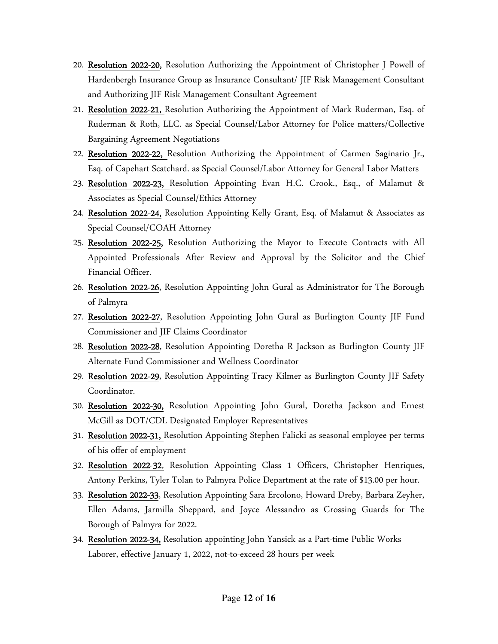- 20. Resolution 2022-20, Resolution Authorizing the Appointment of Christopher J Powell of Hardenbergh Insurance Group as Insurance Consultant/ JIF Risk Management Consultant and Authorizing JIF Risk Management Consultant Agreement
- 21. Resolution 2022-21, Resolution Authorizing the Appointment of Mark Ruderman, Esq. of Ruderman & Roth, LLC. as Special Counsel/Labor Attorney for Police matters/Collective Bargaining Agreement Negotiations
- 22. Resolution 2022-22, Resolution Authorizing the Appointment of Carmen Saginario Jr., Esq. of Capehart Scatchard. as Special Counsel/Labor Attorney for General Labor Matters
- 23. Resolution 2022-23, Resolution Appointing Evan H.C. Crook., Esq., of Malamut & Associates as Special Counsel/Ethics Attorney
- 24. Resolution 2022-24, Resolution Appointing Kelly Grant, Esq. of Malamut & Associates as Special Counsel/COAH Attorney
- 25. Resolution 2022-25, Resolution Authorizing the Mayor to Execute Contracts with All Appointed Professionals After Review and Approval by the Solicitor and the Chief Financial Officer.
- 26. Resolution 2022-26, Resolution Appointing John Gural as Administrator for The Borough of Palmyra
- 27. Resolution 2022-27, Resolution Appointing John Gural as Burlington County JIF Fund Commissioner and JIF Claims Coordinator
- 28. Resolution 2022-28, Resolution Appointing Doretha R Jackson as Burlington County JIF Alternate Fund Commissioner and Wellness Coordinator
- 29. Resolution 2022-29, Resolution Appointing Tracy Kilmer as Burlington County JIF Safety Coordinator.
- 30. Resolution 2022-30, Resolution Appointing John Gural, Doretha Jackson and Ernest McGill as DOT/CDL Designated Employer Representatives
- 31. Resolution 2022-31, Resolution Appointing Stephen Falicki as seasonal employee per terms of his offer of employment
- 32. Resolution 2022-32, Resolution Appointing Class 1 Officers, Christopher Henriques, Antony Perkins, Tyler Tolan to Palmyra Police Department at the rate of \$13.00 per hour.
- 33. Resolution 2022-33, Resolution Appointing Sara Ercolono, Howard Dreby, Barbara Zeyher, Ellen Adams, Jarmilla Sheppard, and Joyce Alessandro as Crossing Guards for The Borough of Palmyra for 2022.
- 34. Resolution 2022-34, Resolution appointing John Yansick as a Part-time Public Works Laborer, effective January 1, 2022, not-to-exceed 28 hours per week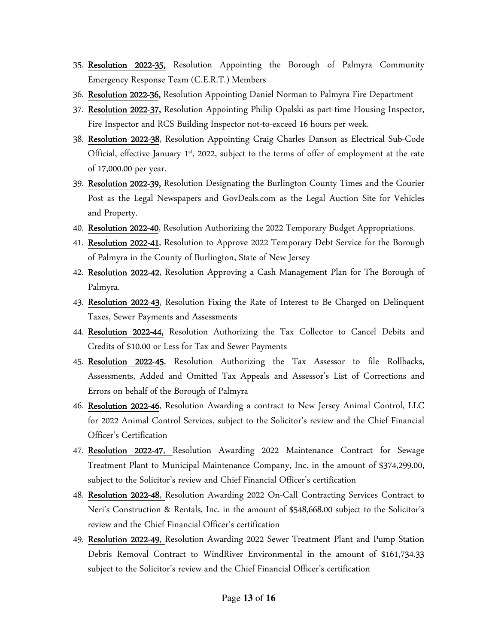- 35. Resolution 2022-35, Resolution Appointing the Borough of Palmyra Community Emergency Response Team (C.E.R.T.) Members
- 36. Resolution 2022-36, Resolution Appointing Daniel Norman to Palmyra Fire Department
- 37. Resolution 2022-37, Resolution Appointing Philip Opalski as part-time Housing Inspector, Fire Inspector and RCS Building Inspector not-to-exceed 16 hours per week.
- 38. Resolution 2022-38, Resolution Appointing Craig Charles Danson as Electrical Sub-Code Official, effective January 1<sup>st</sup>, 2022, subject to the terms of offer of employment at the rate of 17,000.00 per year.
- 39. Resolution 2022-39, Resolution Designating the Burlington County Times and the Courier Post as the Legal Newspapers and GovDeals.com as the Legal Auction Site for Vehicles and Property.
- 40. Resolution 2022-40, Resolution Authorizing the 2022 Temporary Budget Appropriations.
- 41. Resolution 2022-41, Resolution to Approve 2022 Temporary Debt Service for the Borough of Palmyra in the County of Burlington, State of New Jersey
- 42. Resolution 2022-42, Resolution Approving a Cash Management Plan for The Borough of Palmyra.
- 43. Resolution 2022-43, Resolution Fixing the Rate of Interest to Be Charged on Delinquent Taxes, Sewer Payments and Assessments
- 44. Resolution 2022-44, Resolution Authorizing the Tax Collector to Cancel Debits and Credits of \$10.00 or Less for Tax and Sewer Payments
- 45. Resolution 2022-45, Resolution Authorizing the Tax Assessor to file Rollbacks, Assessments, Added and Omitted Tax Appeals and Assessor's List of Corrections and Errors on behalf of the Borough of Palmyra
- 46. Resolution 2022-46, Resolution Awarding a contract to New Jersey Animal Control, LLC for 2022 Animal Control Services, subject to the Solicitor's review and the Chief Financial Officer's Certification
- 47. Resolution 2022-47, Resolution Awarding 2022 Maintenance Contract for Sewage Treatment Plant to Municipal Maintenance Company, Inc. in the amount of \$374,299.00, subject to the Solicitor's review and Chief Financial Officer's certification
- 48. Resolution 2022-48, Resolution Awarding 2022 On-Call Contracting Services Contract to Neri's Construction & Rentals, Inc. in the amount of \$548,668.00 subject to the Solicitor's review and the Chief Financial Officer's certification
- 49. Resolution 2022-49, Resolution Awarding 2022 Sewer Treatment Plant and Pump Station Debris Removal Contract to WindRiver Environmental in the amount of \$161,734.33 subject to the Solicitor's review and the Chief Financial Officer's certification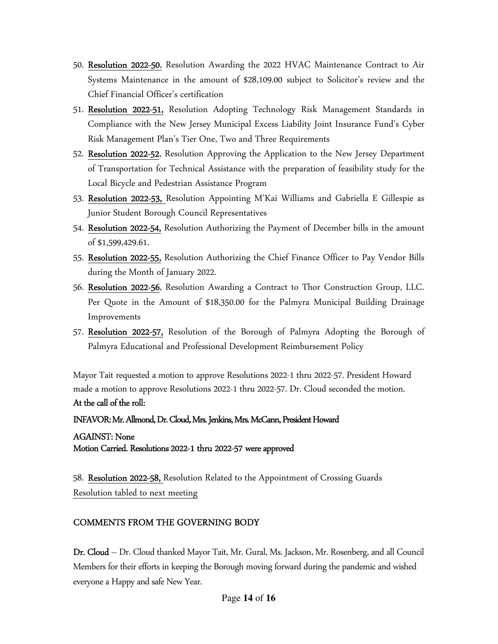- 50. Resolution 2022-50, Resolution Awarding the 2022 HVAC Maintenance Contract to Air Systems Maintenance in the amount of \$28,109.00 subject to Solicitor's review and the Chief Financial Officer's certification
- 51. Resolution 2022-51, Resolution Adopting Technology Risk Management Standards in Compliance with the New Jersey Municipal Excess Liability Joint Insurance Fund's Cyber Risk Management Plan's Tier One, Two and Three Requirements
- 52. Resolution 2022-52, Resolution Approving the Application to the New Jersey Department of Transportation for Technical Assistance with the preparation of feasibility study for the Local Bicycle and Pedestrian Assistance Program
- 53. Resolution 2022-53, Resolution Appointing M'Kai Williams and Gabriella E Gillespie as Junior Student Borough Council Representatives
- 54. Resolution 2022-54, Resolution Authorizing the Payment of December bills in the amount of \$1,599,429.61.
- 55. Resolution 2022-55, Resolution Authorizing the Chief Finance Officer to Pay Vendor Bills during the Month of January 2022.
- 56. Resolution 2022-56, Resolution Awarding a Contract to Thor Construction Group, LLC. Per Quote in the Amount of \$18,350.00 for the Palmyra Municipal Building Drainage Improvements
- 57. Resolution 2022-57, Resolution of the Borough of Palmyra Adopting the Borough of Palmyra Educational and Professional Development Reimbursement Policy

Mayor Tait requested a motion to approve Resolutions 2022-1 thru 2022-57. President Howard made a motion to approve Resolutions 2022-1 thru 2022-57. Dr. Cloud seconded the motion.

#### At the call of the roll:

#### INFAVOR: Mr. Allmond, Dr. Cloud, Mrs. Jenkins, Mrs. McCann, President Howard

#### AGAINST: None

#### Motion Carried. Resolutions 2022-1 thru 2022-57 were approved

58. Resolution 2022-58, Resolution Related to the Appointment of Crossing Guards Resolution tabled to next meeting

#### COMMENTS FROM THE GOVERNING BODY

Dr. Cloud – Dr. Cloud thanked Mayor Tait, Mr. Gural, Ms. Jackson, Mr. Rosenberg, and all Council Members for their efforts in keeping the Borough moving forward during the pandemic and wished everyone a Happy and safe New Year.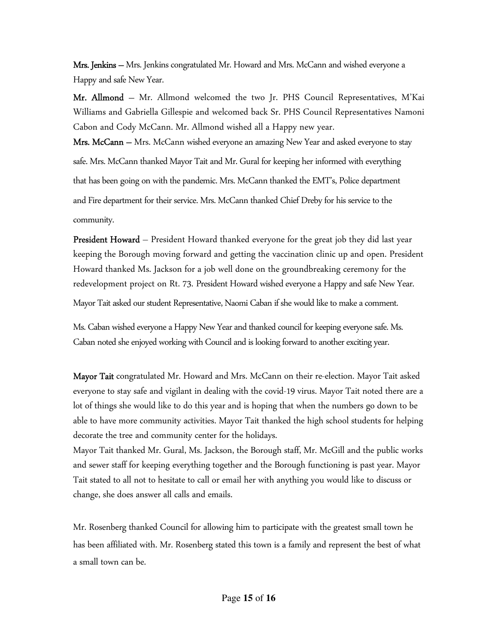**Mrs. Jenkins** – Mrs. Jenkins congratulated Mr. Howard and Mrs. McCann and wished everyone a Happy and safe New Year.

Mr. Allmond – Mr. Allmond welcomed the two Jr. PHS Council Representatives, M'Kai Williams and Gabriella Gillespie and welcomed back Sr. PHS Council Representatives Namoni Cabon and Cody McCann. Mr. Allmond wished all a Happy new year.

Mrs. McCann - Mrs. McCann wished everyone an amazing New Year and asked everyone to stay safe. Mrs. McCann thanked Mayor Tait and Mr. Gural for keeping her informed with everything that has been going on with the pandemic. Mrs. McCann thanked the EMT's, Police department and Fire department for their service. Mrs. McCann thanked Chief Dreby for his service to the community.

**President Howard** – President Howard thanked everyone for the great job they did last year keeping the Borough moving forward and getting the vaccination clinic up and open. President Howard thanked Ms. Jackson for a job well done on the groundbreaking ceremony for the redevelopment project on Rt. 73. President Howard wished everyone a Happy and safe New Year.

Mayor Tait asked our student Representative, Naomi Caban if she would like to make a comment.

Ms. Caban wished everyone a Happy New Year and thanked council for keeping everyone safe. Ms. Caban noted she enjoyed working with Council and is looking forward to another exciting year.

Mayor Tait congratulated Mr. Howard and Mrs. McCann on their re-election. Mayor Tait asked everyone to stay safe and vigilant in dealing with the covid-19 virus. Mayor Tait noted there are a lot of things she would like to do this year and is hoping that when the numbers go down to be able to have more community activities. Mayor Tait thanked the high school students for helping decorate the tree and community center for the holidays.

Mayor Tait thanked Mr. Gural, Ms. Jackson, the Borough staff, Mr. McGill and the public works and sewer staff for keeping everything together and the Borough functioning is past year. Mayor Tait stated to all not to hesitate to call or email her with anything you would like to discuss or change, she does answer all calls and emails.

Mr. Rosenberg thanked Council for allowing him to participate with the greatest small town he has been affiliated with. Mr. Rosenberg stated this town is a family and represent the best of what a small town can be.